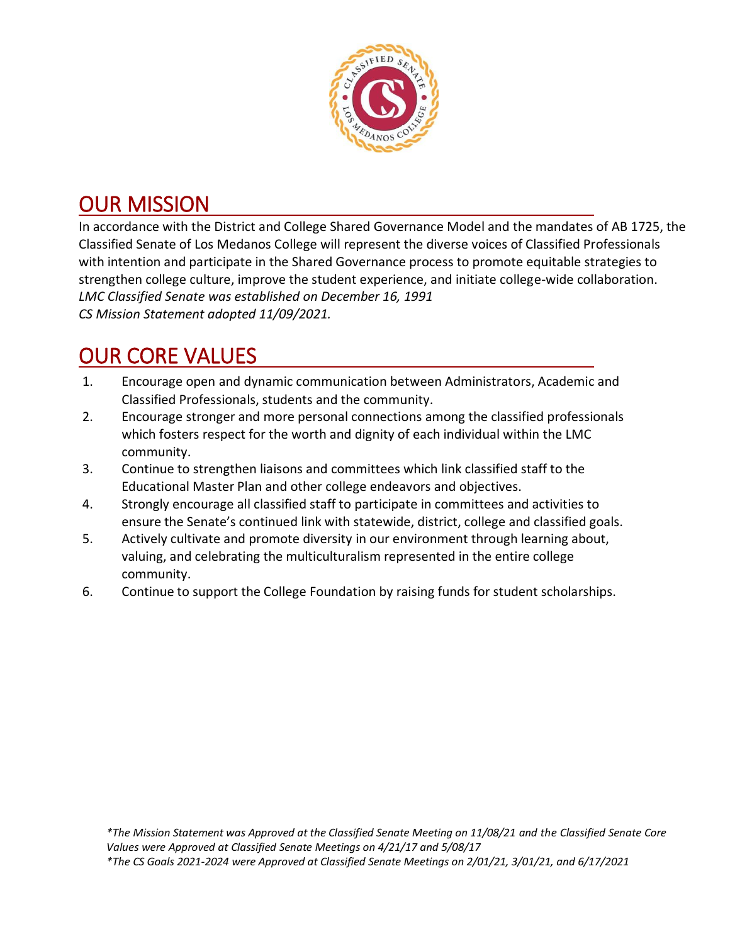

# OUR MISSION

In accordance with the District and College Shared Governance Model and the mandates of AB 1725, the Classified Senate of Los Medanos College will represent the diverse voices of Classified Professionals with intention and participate in the Shared Governance process to promote equitable strategies to strengthen college culture, improve the student experience, and initiate college-wide collaboration. *LMC Classified Senate was established on December 16, 1991 CS Mission Statement adopted 11/09/2021.*

## OUR CORE VALUES

- 1. Encourage open and dynamic communication between Administrators, Academic and Classified Professionals, students and the community.
- 2. Encourage stronger and more personal connections among the classified professionals which fosters respect for the worth and dignity of each individual within the LMC community.
- 3. Continue to strengthen liaisons and committees which link classified staff to the Educational Master Plan and other college endeavors and objectives.
- 4. Strongly encourage all classified staff to participate in committees and activities to ensure the Senate's continued link with statewide, district, college and classified goals.
- 5. Actively cultivate and promote diversity in our environment through learning about, valuing, and celebrating the multiculturalism represented in the entire college community.
- 6. Continue to support the College Foundation by raising funds for student scholarships.

*\*The Mission Statement was Approved at the Classified Senate Meeting on 11/08/21 and the Classified Senate Core Values were Approved at Classified Senate Meetings on 4/21/17 and 5/08/17 \*The CS Goals 2021-2024 were Approved at Classified Senate Meetings on 2/01/21, 3/01/21, and 6/17/2021*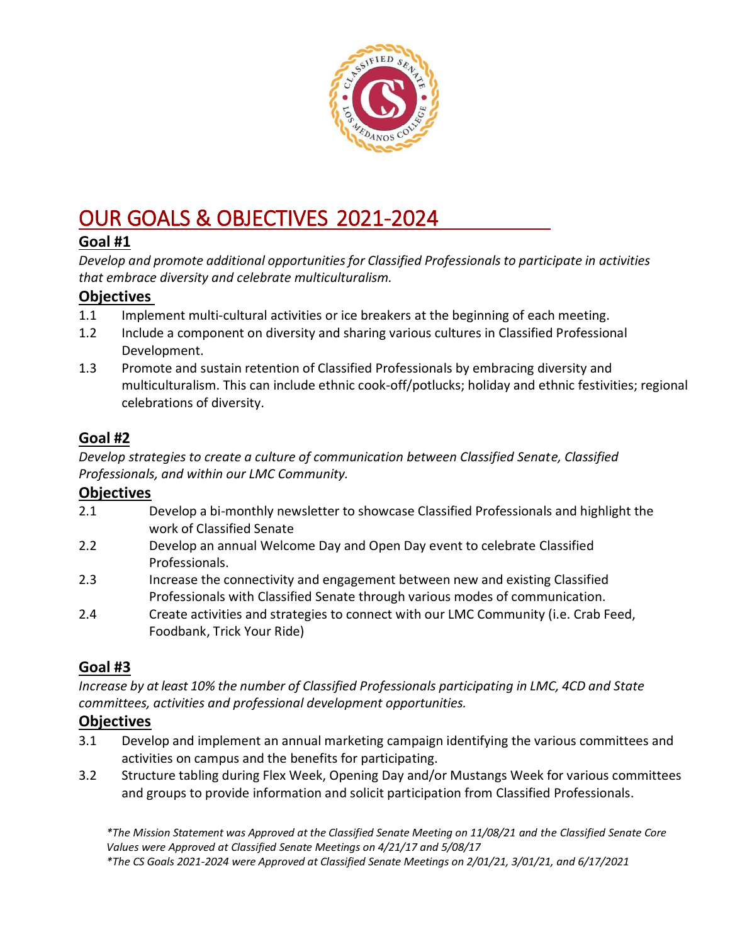

# OUR GOALS & OBJECTIVES 2021-2024

## **Goal #1**

*Develop and promote additional opportunities for Classified Professionals to participate in activities that embrace diversity and celebrate multiculturalism.*

#### **Objectives**

- 1.1 Implement multi-cultural activities or ice breakers at the beginning of each meeting.
- 1.2 Include a component on diversity and sharing various cultures in Classified Professional Development.
- 1.3 Promote and sustain retention of Classified Professionals by embracing diversity and multiculturalism. This can include ethnic cook-off/potlucks; holiday and ethnic festivities; regional celebrations of diversity.

## **Goal #2**

*Develop strategies to create a culture of communication between Classified Senate, Classified Professionals, and within our LMC Community.*

#### **Objectives**

- 2.1 Develop a bi-monthly newsletter to showcase Classified Professionals and highlight the work of Classified Senate
- 2.2 Develop an annual Welcome Day and Open Day event to celebrate Classified Professionals.
- 2.3 Increase the connectivity and engagement between new and existing Classified Professionals with Classified Senate through various modes of communication.
- 2.4 Create activities and strategies to connect with our LMC Community (i.e. Crab Feed, Foodbank, Trick Your Ride)

## **Goal #3**

*Increase by at least 10% the number of Classified Professionals participating in LMC, 4CD and State committees, activities and professional development opportunities.*

#### **Objectives**

- 3.1 Develop and implement an annual marketing campaign identifying the various committees and activities on campus and the benefits for participating.
- 3.2 Structure tabling during Flex Week, Opening Day and/or Mustangs Week for various committees and groups to provide information and solicit participation from Classified Professionals.

*\*The Mission Statement was Approved at the Classified Senate Meeting on 11/08/21 and the Classified Senate Core Values were Approved at Classified Senate Meetings on 4/21/17 and 5/08/17*

*\*The CS Goals 2021-2024 were Approved at Classified Senate Meetings on 2/01/21, 3/01/21, and 6/17/2021*